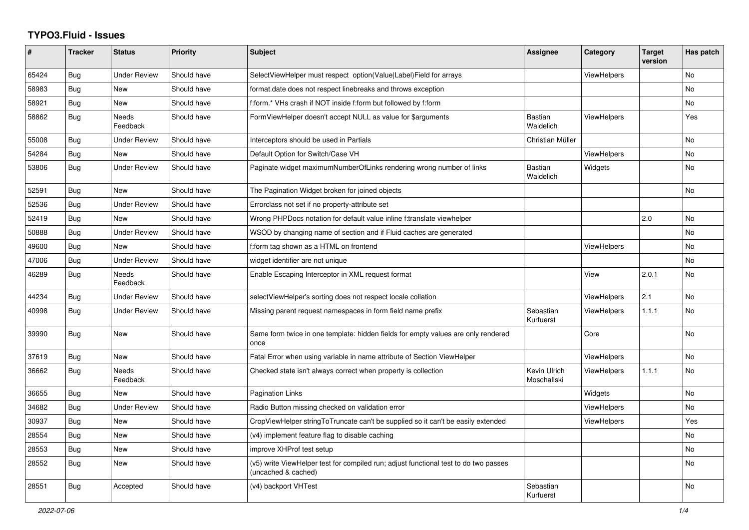## **TYPO3.Fluid - Issues**

| #     | <b>Tracker</b> | <b>Status</b>            | <b>Priority</b> | <b>Subject</b>                                                                                              | Assignee                    | Category           | <b>Target</b><br>version | Has patch      |
|-------|----------------|--------------------------|-----------------|-------------------------------------------------------------------------------------------------------------|-----------------------------|--------------------|--------------------------|----------------|
| 65424 | Bug            | Under Review             | Should have     | SelectViewHelper must respect option(Value Label)Field for arrays                                           |                             | <b>ViewHelpers</b> |                          | <b>No</b>      |
| 58983 | <b>Bug</b>     | New                      | Should have     | format.date does not respect linebreaks and throws exception                                                |                             |                    |                          | <b>No</b>      |
| 58921 | <b>Bug</b>     | <b>New</b>               | Should have     | f:form.* VHs crash if NOT inside f:form but followed by f:form                                              |                             |                    |                          | No.            |
| 58862 | <b>Bug</b>     | <b>Needs</b><br>Feedback | Should have     | FormViewHelper doesn't accept NULL as value for \$arguments                                                 | <b>Bastian</b><br>Waidelich | <b>ViewHelpers</b> |                          | Yes            |
| 55008 | <b>Bug</b>     | <b>Under Review</b>      | Should have     | Interceptors should be used in Partials                                                                     | Christian Müller            |                    |                          | <b>No</b>      |
| 54284 | <b>Bug</b>     | New                      | Should have     | Default Option for Switch/Case VH                                                                           |                             | <b>ViewHelpers</b> |                          | <b>No</b>      |
| 53806 | <b>Bug</b>     | <b>Under Review</b>      | Should have     | Paginate widget maximumNumberOfLinks rendering wrong number of links                                        | <b>Bastian</b><br>Waidelich | Widgets            |                          | <b>No</b>      |
| 52591 | <b>Bug</b>     | <b>New</b>               | Should have     | The Pagination Widget broken for joined objects                                                             |                             |                    |                          | <b>No</b>      |
| 52536 | Bug            | <b>Under Review</b>      | Should have     | Errorclass not set if no property-attribute set                                                             |                             |                    |                          |                |
| 52419 | Bug            | <b>New</b>               | Should have     | Wrong PHPDocs notation for default value inline f:translate viewhelper                                      |                             |                    | 2.0                      | <b>No</b>      |
| 50888 | Bug            | <b>Under Review</b>      | Should have     | WSOD by changing name of section and if Fluid caches are generated                                          |                             |                    |                          | N <sub>o</sub> |
| 49600 | Bug            | <b>New</b>               | Should have     | f:form tag shown as a HTML on frontend                                                                      |                             | <b>ViewHelpers</b> |                          | <b>No</b>      |
| 47006 | Bug            | <b>Under Review</b>      | Should have     | widget identifier are not unique                                                                            |                             |                    |                          | <b>No</b>      |
| 46289 | Bug            | Needs<br>Feedback        | Should have     | Enable Escaping Interceptor in XML request format                                                           |                             | View               | 2.0.1                    | <b>No</b>      |
| 44234 | <b>Bug</b>     | <b>Under Review</b>      | Should have     | selectViewHelper's sorting does not respect locale collation                                                |                             | ViewHelpers        | 2.1                      | No             |
| 40998 | Bug            | <b>Under Review</b>      | Should have     | Missing parent request namespaces in form field name prefix                                                 | Sebastian<br>Kurfuerst      | <b>ViewHelpers</b> | 1.1.1                    | N <sub>o</sub> |
| 39990 | Bug            | New                      | Should have     | Same form twice in one template: hidden fields for empty values are only rendered<br>once                   |                             | Core               |                          | <b>No</b>      |
| 37619 | <b>Bug</b>     | New                      | Should have     | Fatal Error when using variable in name attribute of Section ViewHelper                                     |                             | <b>ViewHelpers</b> |                          | <b>No</b>      |
| 36662 | <b>Bug</b>     | Needs<br>Feedback        | Should have     | Checked state isn't always correct when property is collection                                              | Kevin Ulrich<br>Moschallski | <b>ViewHelpers</b> | 1.1.1                    | <b>No</b>      |
| 36655 | <b>Bug</b>     | New                      | Should have     | <b>Pagination Links</b>                                                                                     |                             | Widgets            |                          | <b>No</b>      |
| 34682 | Bug            | <b>Under Review</b>      | Should have     | Radio Button missing checked on validation error                                                            |                             | <b>ViewHelpers</b> |                          | No             |
| 30937 | <b>Bug</b>     | <b>New</b>               | Should have     | CropViewHelper stringToTruncate can't be supplied so it can't be easily extended                            |                             | <b>ViewHelpers</b> |                          | Yes            |
| 28554 | <b>Bug</b>     | New                      | Should have     | (v4) implement feature flag to disable caching                                                              |                             |                    |                          | <b>No</b>      |
| 28553 | Bug            | New                      | Should have     | improve XHProf test setup                                                                                   |                             |                    |                          | <b>No</b>      |
| 28552 | <b>Bug</b>     | New                      | Should have     | (v5) write ViewHelper test for compiled run; adjust functional test to do two passes<br>(uncached & cached) |                             |                    |                          | No             |
| 28551 | Bug            | Accepted                 | Should have     | (v4) backport VHTest                                                                                        | Sebastian<br>Kurfuerst      |                    |                          | <b>No</b>      |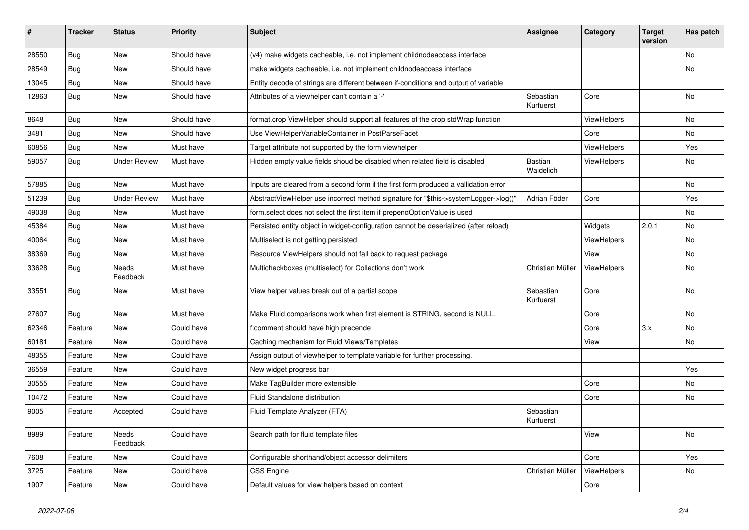| #     | <b>Tracker</b> | <b>Status</b>            | <b>Priority</b> | <b>Subject</b>                                                                        | <b>Assignee</b>        | Category           | <b>Target</b><br>version | Has patch |
|-------|----------------|--------------------------|-----------------|---------------------------------------------------------------------------------------|------------------------|--------------------|--------------------------|-----------|
| 28550 | Bug            | New                      | Should have     | (v4) make widgets cacheable, i.e. not implement childnodeaccess interface             |                        |                    |                          | No        |
| 28549 | Bug            | New                      | Should have     | make widgets cacheable, i.e. not implement childnodeaccess interface                  |                        |                    |                          | No        |
| 13045 | <b>Bug</b>     | New                      | Should have     | Entity decode of strings are different between if-conditions and output of variable   |                        |                    |                          |           |
| 12863 | Bug            | New                      | Should have     | Attributes of a viewhelper can't contain a '-'                                        | Sebastian<br>Kurfuerst | Core               |                          | No        |
| 8648  | Bug            | New                      | Should have     | format.crop ViewHelper should support all features of the crop stdWrap function       |                        | ViewHelpers        |                          | No.       |
| 3481  | <b>Bug</b>     | New                      | Should have     | Use ViewHelperVariableContainer in PostParseFacet                                     |                        | Core               |                          | No        |
| 60856 | Bug            | New                      | Must have       | Target attribute not supported by the form viewhelper                                 |                        | ViewHelpers        |                          | Yes       |
| 59057 | Bug            | <b>Under Review</b>      | Must have       | Hidden empty value fields shoud be disabled when related field is disabled            | Bastian<br>Waidelich   | ViewHelpers        |                          | No        |
| 57885 | Bug            | New                      | Must have       | Inputs are cleared from a second form if the first form produced a vallidation error  |                        |                    |                          | No        |
| 51239 | Bug            | <b>Under Review</b>      | Must have       | AbstractViewHelper use incorrect method signature for "\$this->systemLogger->log()"   | Adrian Föder           | Core               |                          | Yes       |
| 49038 | Bug            | New                      | Must have       | form.select does not select the first item if prependOptionValue is used              |                        |                    |                          | No        |
| 45384 | Bug            | <b>New</b>               | Must have       | Persisted entity object in widget-configuration cannot be deserialized (after reload) |                        | Widgets            | 2.0.1                    | No        |
| 40064 | Bug            | New                      | Must have       | Multiselect is not getting persisted                                                  |                        | <b>ViewHelpers</b> |                          | No        |
| 38369 | Bug            | New                      | Must have       | Resource ViewHelpers should not fall back to request package                          |                        | View               |                          | No        |
| 33628 | Bug            | <b>Needs</b><br>Feedback | Must have       | Multicheckboxes (multiselect) for Collections don't work                              | Christian Müller       | ViewHelpers        |                          | No        |
| 33551 | Bug            | New                      | Must have       | View helper values break out of a partial scope                                       | Sebastian<br>Kurfuerst | Core               |                          | No        |
| 27607 | Bug            | New                      | Must have       | Make Fluid comparisons work when first element is STRING, second is NULL.             |                        | Core               |                          | No        |
| 62346 | Feature        | <b>New</b>               | Could have      | f:comment should have high precende                                                   |                        | Core               | 3.x                      | No.       |
| 60181 | Feature        | New                      | Could have      | Caching mechanism for Fluid Views/Templates                                           |                        | View               |                          | No        |
| 48355 | Feature        | New                      | Could have      | Assign output of viewhelper to template variable for further processing.              |                        |                    |                          |           |
| 36559 | Feature        | New                      | Could have      | New widget progress bar                                                               |                        |                    |                          | Yes       |
| 30555 | Feature        | New                      | Could have      | Make TagBuilder more extensible                                                       |                        | Core               |                          | No        |
| 10472 | Feature        | New                      | Could have      | Fluid Standalone distribution                                                         |                        | Core               |                          | No.       |
| 9005  | Feature        | Accepted                 | Could have      | Fluid Template Analyzer (FTA)                                                         | Sebastian<br>Kurfuerst |                    |                          |           |
| 8989  | Feature        | Needs<br>Feedback        | Could have      | Search path for fluid template files                                                  |                        | View               |                          | No        |
| 7608  | Feature        | New                      | Could have      | Configurable shorthand/object accessor delimiters                                     |                        | Core               |                          | Yes       |
| 3725  | Feature        | New                      | Could have      | CSS Engine                                                                            | Christian Müller       | ViewHelpers        |                          | No        |
| 1907  | Feature        | New                      | Could have      | Default values for view helpers based on context                                      |                        | Core               |                          |           |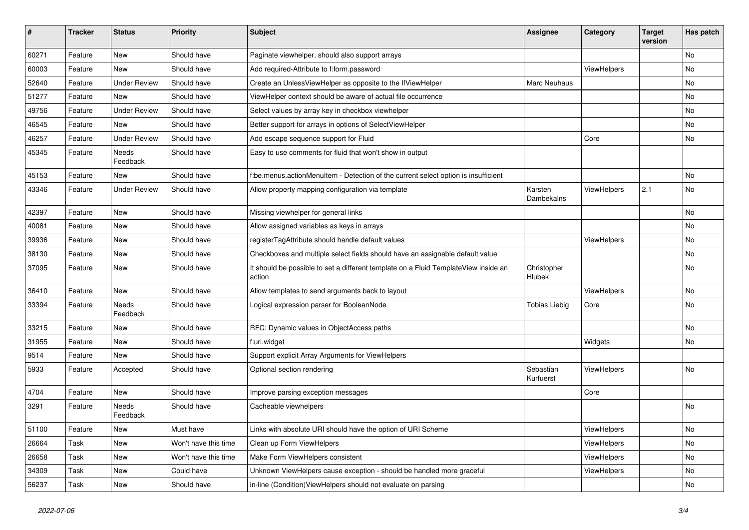| ∦     | <b>Tracker</b> | <b>Status</b>       | <b>Priority</b>      | Subject                                                                                       | Assignee               | Category    | <b>Target</b><br>version | Has patch |
|-------|----------------|---------------------|----------------------|-----------------------------------------------------------------------------------------------|------------------------|-------------|--------------------------|-----------|
| 60271 | Feature        | New                 | Should have          | Paginate viewhelper, should also support arrays                                               |                        |             |                          | No        |
| 60003 | Feature        | New                 | Should have          | Add required-Attribute to f:form.password                                                     |                        | ViewHelpers |                          | No        |
| 52640 | Feature        | <b>Under Review</b> | Should have          | Create an UnlessViewHelper as opposite to the IfViewHelper                                    | Marc Neuhaus           |             |                          | No        |
| 51277 | Feature        | New                 | Should have          | ViewHelper context should be aware of actual file occurrence                                  |                        |             |                          | No        |
| 49756 | Feature        | <b>Under Review</b> | Should have          | Select values by array key in checkbox viewhelper                                             |                        |             |                          | No        |
| 46545 | Feature        | New                 | Should have          | Better support for arrays in options of SelectViewHelper                                      |                        |             |                          | No        |
| 46257 | Feature        | <b>Under Review</b> | Should have          | Add escape sequence support for Fluid                                                         |                        | Core        |                          | No        |
| 45345 | Feature        | Needs<br>Feedback   | Should have          | Easy to use comments for fluid that won't show in output                                      |                        |             |                          |           |
| 45153 | Feature        | <b>New</b>          | Should have          | f:be.menus.actionMenuItem - Detection of the current select option is insufficient            |                        |             |                          | No        |
| 43346 | Feature        | <b>Under Review</b> | Should have          | Allow property mapping configuration via template                                             | Karsten<br>Dambekalns  | ViewHelpers | 2.1                      | No        |
| 42397 | Feature        | New                 | Should have          | Missing viewhelper for general links                                                          |                        |             |                          | No        |
| 40081 | Feature        | <b>New</b>          | Should have          | Allow assigned variables as keys in arrays                                                    |                        |             |                          | No        |
| 39936 | Feature        | New                 | Should have          | registerTagAttribute should handle default values                                             |                        | ViewHelpers |                          | No        |
| 38130 | Feature        | New                 | Should have          | Checkboxes and multiple select fields should have an assignable default value                 |                        |             |                          | No        |
| 37095 | Feature        | New                 | Should have          | It should be possible to set a different template on a Fluid TemplateView inside an<br>action | Christopher<br>Hlubek  |             |                          | No        |
| 36410 | Feature        | New                 | Should have          | Allow templates to send arguments back to layout                                              |                        | ViewHelpers |                          | No        |
| 33394 | Feature        | Needs<br>Feedback   | Should have          | Logical expression parser for BooleanNode                                                     | <b>Tobias Liebig</b>   | Core        |                          | No        |
| 33215 | Feature        | <b>New</b>          | Should have          | RFC: Dynamic values in ObjectAccess paths                                                     |                        |             |                          | No        |
| 31955 | Feature        | New                 | Should have          | f:uri.widget                                                                                  |                        | Widgets     |                          | No        |
| 9514  | Feature        | New                 | Should have          | Support explicit Array Arguments for ViewHelpers                                              |                        |             |                          |           |
| 5933  | Feature        | Accepted            | Should have          | Optional section rendering                                                                    | Sebastian<br>Kurfuerst | ViewHelpers |                          | No        |
| 4704  | Feature        | New                 | Should have          | Improve parsing exception messages                                                            |                        | Core        |                          |           |
| 3291  | Feature        | Needs<br>Feedback   | Should have          | Cacheable viewhelpers                                                                         |                        |             |                          | No        |
| 51100 | Feature        | New                 | Must have            | Links with absolute URI should have the option of URI Scheme                                  |                        | ViewHelpers |                          | No        |
| 26664 | Task           | New                 | Won't have this time | Clean up Form ViewHelpers                                                                     |                        | ViewHelpers |                          | No        |
| 26658 | Task           | New                 | Won't have this time | Make Form ViewHelpers consistent                                                              |                        | ViewHelpers |                          | No        |
| 34309 | Task           | New                 | Could have           | Unknown ViewHelpers cause exception - should be handled more graceful                         |                        | ViewHelpers |                          | No        |
| 56237 | Task           | New                 | Should have          | in-line (Condition) ViewHelpers should not evaluate on parsing                                |                        |             |                          | No        |